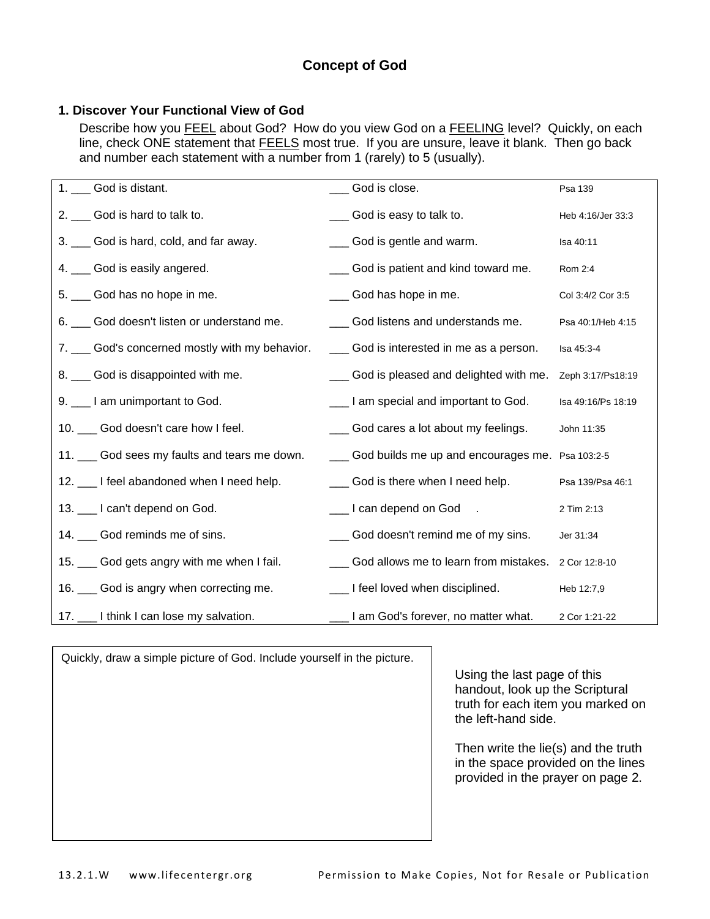# **Concept of God**

### **1. Discover Your Functional View of God**

Describe how you **FEEL** about God? How do you view God on a FEELING level? Quickly, on each line, check ONE statement that **FEELS** most true. If you are unsure, leave it blank. Then go back and number each statement with a number from 1 (rarely) to 5 (usually).

| 1. | God is distant.                                 | God is close.                                       | Psa 139            |
|----|-------------------------------------------------|-----------------------------------------------------|--------------------|
| 2. | God is hard to talk to.                         | God is easy to talk to.                             | Heb 4:16/Jer 33:3  |
|    | 3. __ God is hard, cold, and far away.          | God is gentle and warm.                             | Isa 40:11          |
|    | 4. __ God is easily angered.                    | God is patient and kind toward me.                  | Rom 2:4            |
|    | 5. Cod has no hope in me.                       | God has hope in me.                                 | Col 3:4/2 Cor 3:5  |
|    | 6. __ God doesn't listen or understand me.      | God listens and understands me.                     | Psa 40:1/Heb 4:15  |
|    | 7. ___ God's concerned mostly with my behavior. | ___ God is interested in me as a person.            | Isa 45:3-4         |
|    | 8. __ God is disappointed with me.              |                                                     | Zeph 3:17/Ps18:19  |
|    | 9. __ I am unimportant to God.                  | Let am special and important to God.                | Isa 49:16/Ps 18:19 |
|    | 10. __ God doesn't care how I feel.             | ___ God cares a lot about my feelings.              | John 11:35         |
|    | 11. __ God sees my faults and tears me down.    | ___ God builds me up and encourages me. Psa 103:2-5 |                    |
|    | 12. ___ I feel abandoned when I need help.      | ___ God is there when I need help.                  | Psa 139/Psa 46:1   |
|    | 13. __ I can't depend on God.                   | Let I can depend on God.                            | 2 Tim 2:13         |
|    | 14. Cod reminds me of sins.                     | God doesn't remind me of my sins.                   | Jer 31:34          |
|    | 15. __ God gets angry with me when I fail.      | God allows me to learn from mistakes. 2 Cor 12:8-10 |                    |
|    | 16. __ God is angry when correcting me.         | _ I feel loved when disciplined.                    | Heb 12:7,9         |
|    | 17. 1think I can lose my salvation.             | I am God's forever, no matter what.                 | 2 Cor 1:21-22      |

Quickly, draw a simple picture of God. Include yourself in the picture.

Using the last page of this handout, look up the Scriptural truth for each item you marked on the left-hand side.

Then write the lie(s) and the truth in the space provided on the lines provided in the prayer on page 2.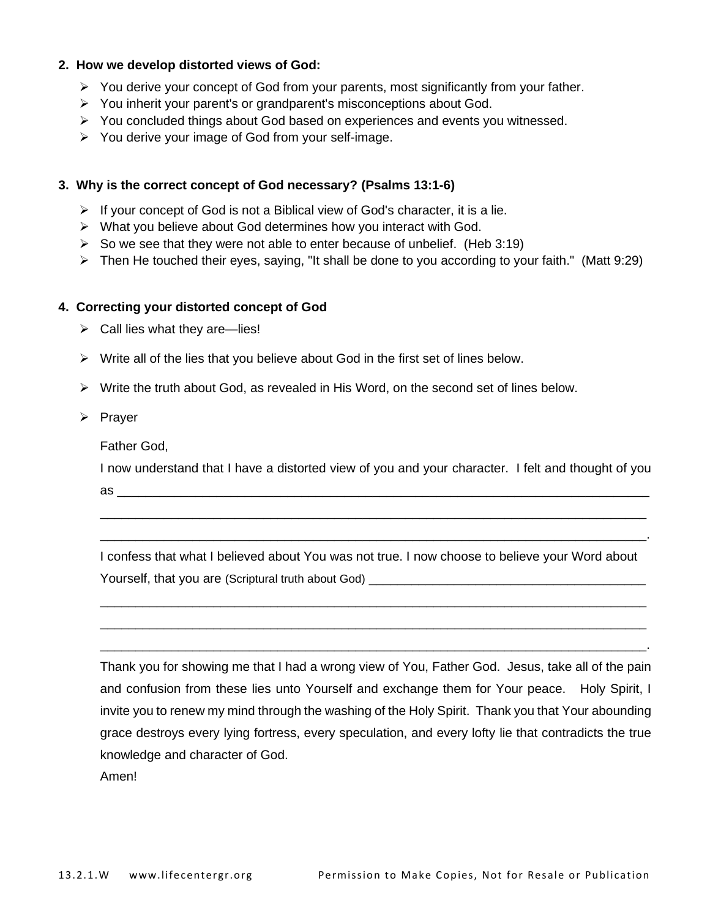#### **2. How we develop distorted views of God:**

- $\triangleright$  You derive your concept of God from your parents, most significantly from your father.
- ➢ You inherit your parent's or grandparent's misconceptions about God.
- ➢ You concluded things about God based on experiences and events you witnessed.
- ➢ You derive your image of God from your self-image.

#### **3. Why is the correct concept of God necessary? (Psalms 13:1-6)**

- ➢ If your concept of God is not a Biblical view of God's character, it is a lie.
- ➢ What you believe about God determines how you interact with God.
- $\triangleright$  So we see that they were not able to enter because of unbelief. (Heb 3:19)
- ➢ Then He touched their eyes, saying, "It shall be done to you according to your faith." (Matt 9:29)

#### **4. Correcting your distorted concept of God**

- $\triangleright$  Call lies what they are—lies!
- $\triangleright$  Write all of the lies that you believe about God in the first set of lines below.
- $\triangleright$  Write the truth about God, as revealed in His Word, on the second set of lines below.
- ➢ Prayer

Father God,

I now understand that I have a distorted view of you and your character. I felt and thought of you as \_\_\_\_\_\_\_\_\_\_\_\_\_\_\_\_\_\_\_\_\_\_\_\_\_\_\_\_\_\_\_\_\_\_\_\_\_\_\_\_\_\_\_\_\_\_\_\_\_\_\_\_\_\_\_\_\_\_\_\_\_\_\_\_\_\_\_\_\_\_\_\_\_\_\_

\_\_\_\_\_\_\_\_\_\_\_\_\_\_\_\_\_\_\_\_\_\_\_\_\_\_\_\_\_\_\_\_\_\_\_\_\_\_\_\_\_\_\_\_\_\_\_\_\_\_\_\_\_\_\_\_\_\_\_\_\_\_\_\_\_\_\_\_\_\_\_\_\_\_\_\_\_ \_\_\_\_\_\_\_\_\_\_\_\_\_\_\_\_\_\_\_\_\_\_\_\_\_\_\_\_\_\_\_\_\_\_\_\_\_\_\_\_\_\_\_\_\_\_\_\_\_\_\_\_\_\_\_\_\_\_\_\_\_\_\_\_\_\_\_\_\_\_\_\_\_\_\_\_\_.

I confess that what I believed about You was not true. I now choose to believe your Word about Yourself, that you are (Scriptural truth about God) \_\_\_\_\_\_\_\_\_\_\_\_\_\_\_\_\_\_\_\_\_\_\_\_\_\_\_\_

\_\_\_\_\_\_\_\_\_\_\_\_\_\_\_\_\_\_\_\_\_\_\_\_\_\_\_\_\_\_\_\_\_\_\_\_\_\_\_\_\_\_\_\_\_\_\_\_\_\_\_\_\_\_\_\_\_\_\_\_\_\_\_\_\_\_\_\_\_\_\_\_\_\_\_\_\_ \_\_\_\_\_\_\_\_\_\_\_\_\_\_\_\_\_\_\_\_\_\_\_\_\_\_\_\_\_\_\_\_\_\_\_\_\_\_\_\_\_\_\_\_\_\_\_\_\_\_\_\_\_\_\_\_\_\_\_\_\_\_\_\_\_\_\_\_\_\_\_\_\_\_\_\_\_ \_\_\_\_\_\_\_\_\_\_\_\_\_\_\_\_\_\_\_\_\_\_\_\_\_\_\_\_\_\_\_\_\_\_\_\_\_\_\_\_\_\_\_\_\_\_\_\_\_\_\_\_\_\_\_\_\_\_\_\_\_\_\_\_\_\_\_\_\_\_\_\_\_\_\_\_\_.

Thank you for showing me that I had a wrong view of You, Father God. Jesus, take all of the pain and confusion from these lies unto Yourself and exchange them for Your peace. Holy Spirit, I invite you to renew my mind through the washing of the Holy Spirit. Thank you that Your abounding grace destroys every lying fortress, every speculation, and every lofty lie that contradicts the true knowledge and character of God.

Amen!